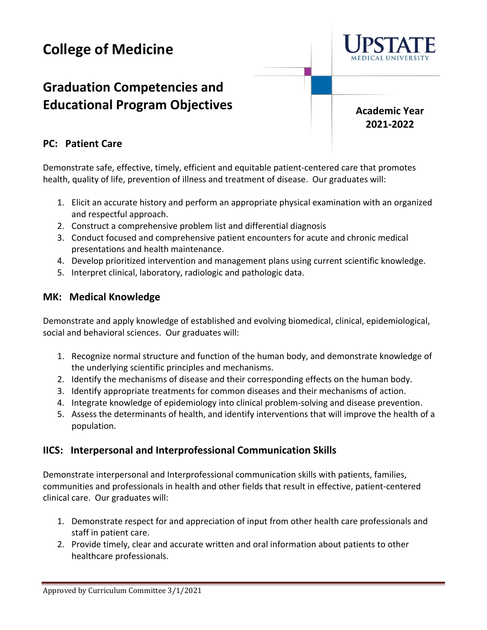# **College of Medicine**

# **Graduation Competencies and Educational Program Objectives**

**Academic Year 2021‐2022**

## **PC: Patient Care**

Demonstrate safe, effective, timely, efficient and equitable patient‐centered care that promotes health, quality of life, prevention of illness and treatment of disease. Our graduates will:

- 1. Elicit an accurate history and perform an appropriate physical examination with an organized and respectful approach.
- 2. Construct a comprehensive problem list and differential diagnosis
- 3. Conduct focused and comprehensive patient encounters for acute and chronic medical presentations and health maintenance.
- 4. Develop prioritized intervention and management plans using current scientific knowledge.
- 5. Interpret clinical, laboratory, radiologic and pathologic data.

#### **MK: Medical Knowledge**

Demonstrate and apply knowledge of established and evolving biomedical, clinical, epidemiological, social and behavioral sciences. Our graduates will:

- 1. Recognize normal structure and function of the human body, and demonstrate knowledge of the underlying scientific principles and mechanisms.
- 2. Identify the mechanisms of disease and their corresponding effects on the human body.
- 3. Identify appropriate treatments for common diseases and their mechanisms of action.
- 4. Integrate knowledge of epidemiology into clinical problem‐solving and disease prevention.
- 5. Assess the determinants of health, and identify interventions that will improve the health of a population.

#### **IICS: Interpersonal and Interprofessional Communication Skills**

Demonstrate interpersonal and Interprofessional communication skills with patients, families, communities and professionals in health and other fields that result in effective, patient‐centered clinical care. Our graduates will:

- 1. Demonstrate respect for and appreciation of input from other health care professionals and staff in patient care.
- 2. Provide timely, clear and accurate written and oral information about patients to other healthcare professionals.